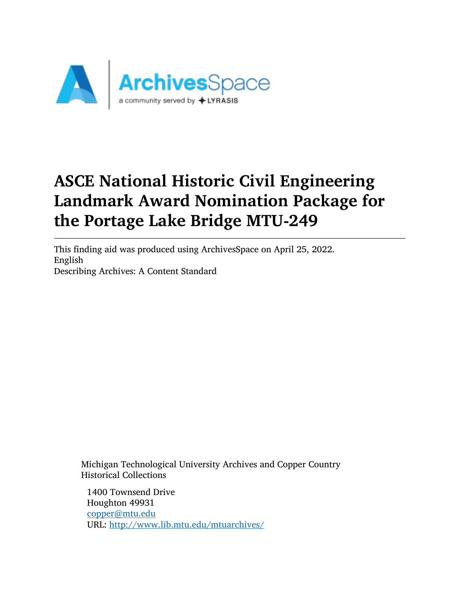

# ASCE National Historic Civil Engineering Landmark Award Nomination Package for the Portage Lake Bridge MTU-249

This finding aid was produced using ArchivesSpace on April 25, 2022. English Describing Archives: A Content Standard

Michigan Technological University Archives and Copper Country Historical Collections

1400 Townsend Drive Houghton 49931 [copper@mtu.edu](mailto:copper@mtu.edu) URL: <http://www.lib.mtu.edu/mtuarchives/>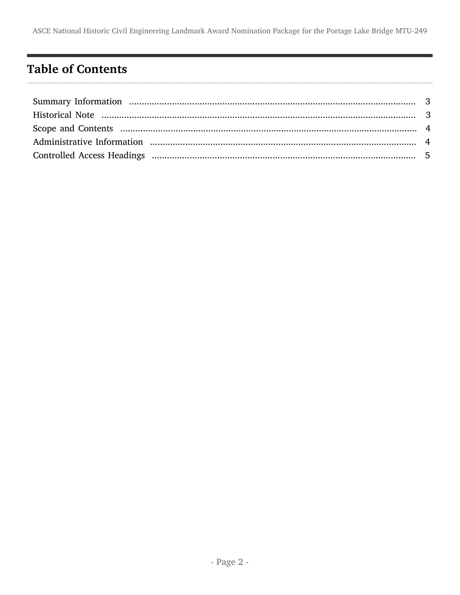# <span id="page-1-0"></span>**Table of Contents**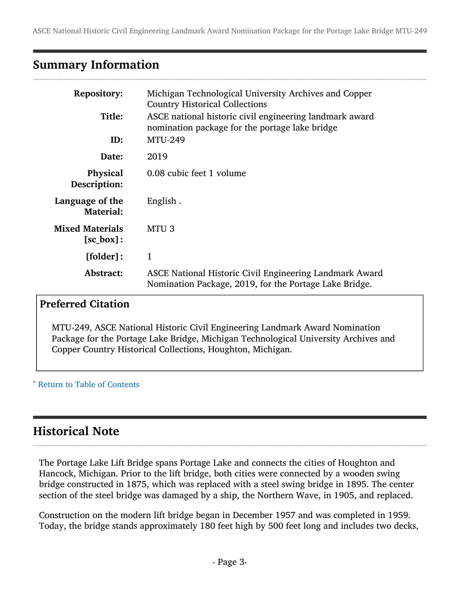### <span id="page-2-0"></span>Summary Information

| <b>Repository:</b>                            | Michigan Technological University Archives and Copper<br><b>Country Historical Collections</b>                    |
|-----------------------------------------------|-------------------------------------------------------------------------------------------------------------------|
| Title:                                        | ASCE national historic civil engineering landmark award<br>nomination package for the portage lake bridge         |
| ID:                                           | <b>MTU-249</b>                                                                                                    |
| Date:                                         | 2019                                                                                                              |
| Physical<br>Description:                      | 0.08 cubic feet 1 volume                                                                                          |
| Language of the<br><b>Material:</b>           | English.                                                                                                          |
| <b>Mixed Materials</b><br>$[sc_{\theta}box]:$ | MTU <sub>3</sub>                                                                                                  |
| [folder]:                                     | 1                                                                                                                 |
| Abstract:                                     | ASCE National Historic Civil Engineering Landmark Award<br>Nomination Package, 2019, for the Portage Lake Bridge. |

#### Preferred Citation

MTU-249, ASCE National Historic Civil Engineering Landmark Award Nomination Package for the Portage Lake Bridge, Michigan Technological University Archives and Copper Country Historical Collections, Houghton, Michigan.

#### ^ [Return to Table of Contents](#page-1-0)

# <span id="page-2-1"></span>Historical Note

The Portage Lake Lift Bridge spans Portage Lake and connects the cities of Houghton and Hancock, Michigan. Prior to the lift bridge, both cities were connected by a wooden swing bridge constructed in 1875, which was replaced with a steel swing bridge in 1895. The center section of the steel bridge was damaged by a ship, the Northern Wave, in 1905, and replaced.

Construction on the modern lift bridge began in December 1957 and was completed in 1959. Today, the bridge stands approximately 180 feet high by 500 feet long and includes two decks,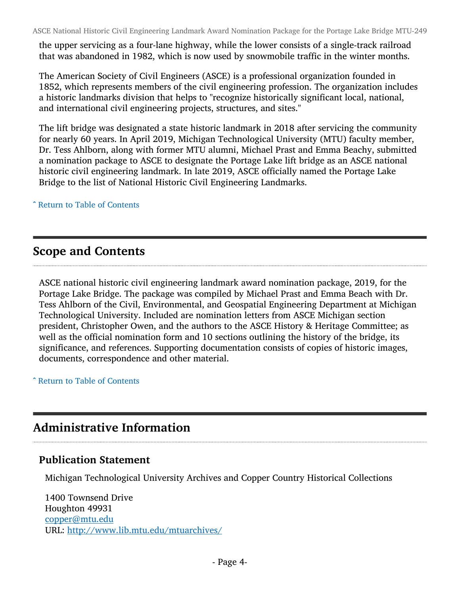ASCE National Historic Civil Engineering Landmark Award Nomination Package for the Portage Lake Bridge MTU-249

the upper servicing as a four-lane highway, while the lower consists of a single-track railroad that was abandoned in 1982, which is now used by snowmobile traffic in the winter months.

The American Society of Civil Engineers (ASCE) is a professional organization founded in 1852, which represents members of the civil engineering profession. The organization includes a historic landmarks division that helps to "recognize historically significant local, national, and international civil engineering projects, structures, and sites."

The lift bridge was designated a state historic landmark in 2018 after servicing the community for nearly 60 years. In April 2019, Michigan Technological University (MTU) faculty member, Dr. Tess Ahlborn, along with former MTU alumni, Michael Prast and Emma Beachy, submitted a nomination package to ASCE to designate the Portage Lake lift bridge as an ASCE national historic civil engineering landmark. In late 2019, ASCE officially named the Portage Lake Bridge to the list of National Historic Civil Engineering Landmarks.

^ [Return to Table of Contents](#page-1-0)

#### <span id="page-3-0"></span>Scope and Contents

ASCE national historic civil engineering landmark award nomination package, 2019, for the Portage Lake Bridge. The package was compiled by Michael Prast and Emma Beach with Dr. Tess Ahlborn of the Civil, Environmental, and Geospatial Engineering Department at Michigan Technological University. Included are nomination letters from ASCE Michigan section president, Christopher Owen, and the authors to the ASCE History & Heritage Committee; as well as the official nomination form and 10 sections outlining the history of the bridge, its significance, and references. Supporting documentation consists of copies of historic images, documents, correspondence and other material.

^ [Return to Table of Contents](#page-1-0)

# <span id="page-3-1"></span>Administrative Information

#### Publication Statement

Michigan Technological University Archives and Copper Country Historical Collections

1400 Townsend Drive Houghton 49931 [copper@mtu.edu](mailto:copper@mtu.edu) URL: <http://www.lib.mtu.edu/mtuarchives/>